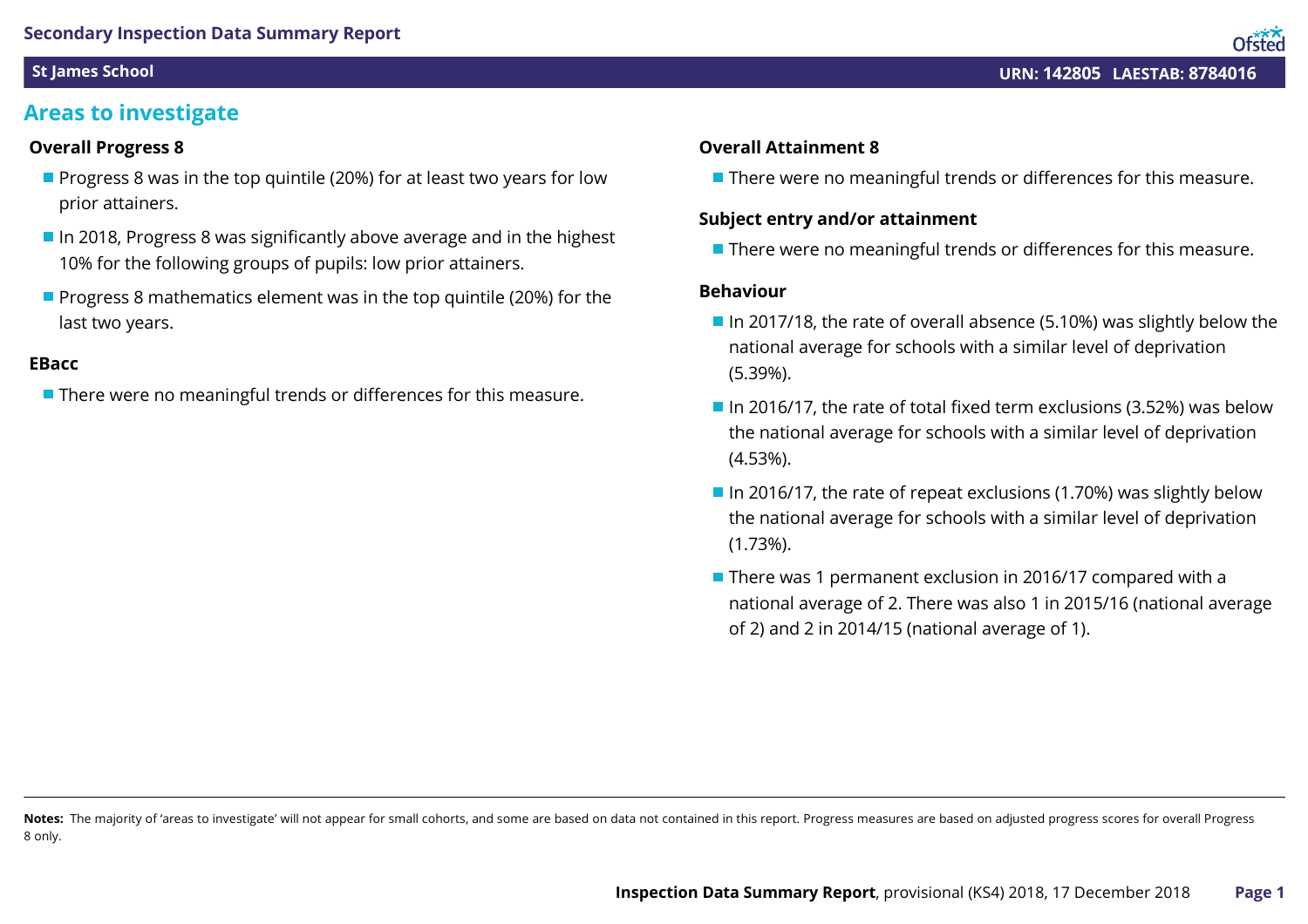### **Areas to investigate**

### **Overall Progress 8**

- **Progress 8 was in the top quintile (20%) for at least two years for low** prior attainers.
- $\blacksquare$  In 2018, Progress 8 was significantly above average and in the highest 10% for the following groups of pupils: low prior attainers.
- **Progress 8 mathematics element was in the top quintile (20%) for the** last two years.

#### **EBacc**

■ There were no meaningful trends or differences for this measure.

#### **Overall Attainment 8**

■ There were no meaningful trends or differences for this measure.

### **Subject entry and/or attainment**

**There were no meaningful trends or differences for this measure.** 

### **Behaviour**

- In 2017/18, the rate of overall absence (5.10%) was slightly below the national average for schools with a similar level of deprivation (5.39%).
- In 2016/17, the rate of total fixed term exclusions (3.52%) was below the national average for schools with a similar level of deprivation (4.53%).
- In 2016/17, the rate of repeat exclusions (1.70%) was slightly below the national average for schools with a similar level of deprivation (1.73%).
- There was 1 permanent exclusion in 2016/17 compared with a national average of 2. There was also 1 in 2015/16 (national average of 2) and 2 in 2014/15 (national average of 1).

Notes: The majority of 'areas to investigate' will not appear for small cohorts, and some are based on data not contained in this report. Progress measures are based on adjusted progress scores for overall Progress 8 only.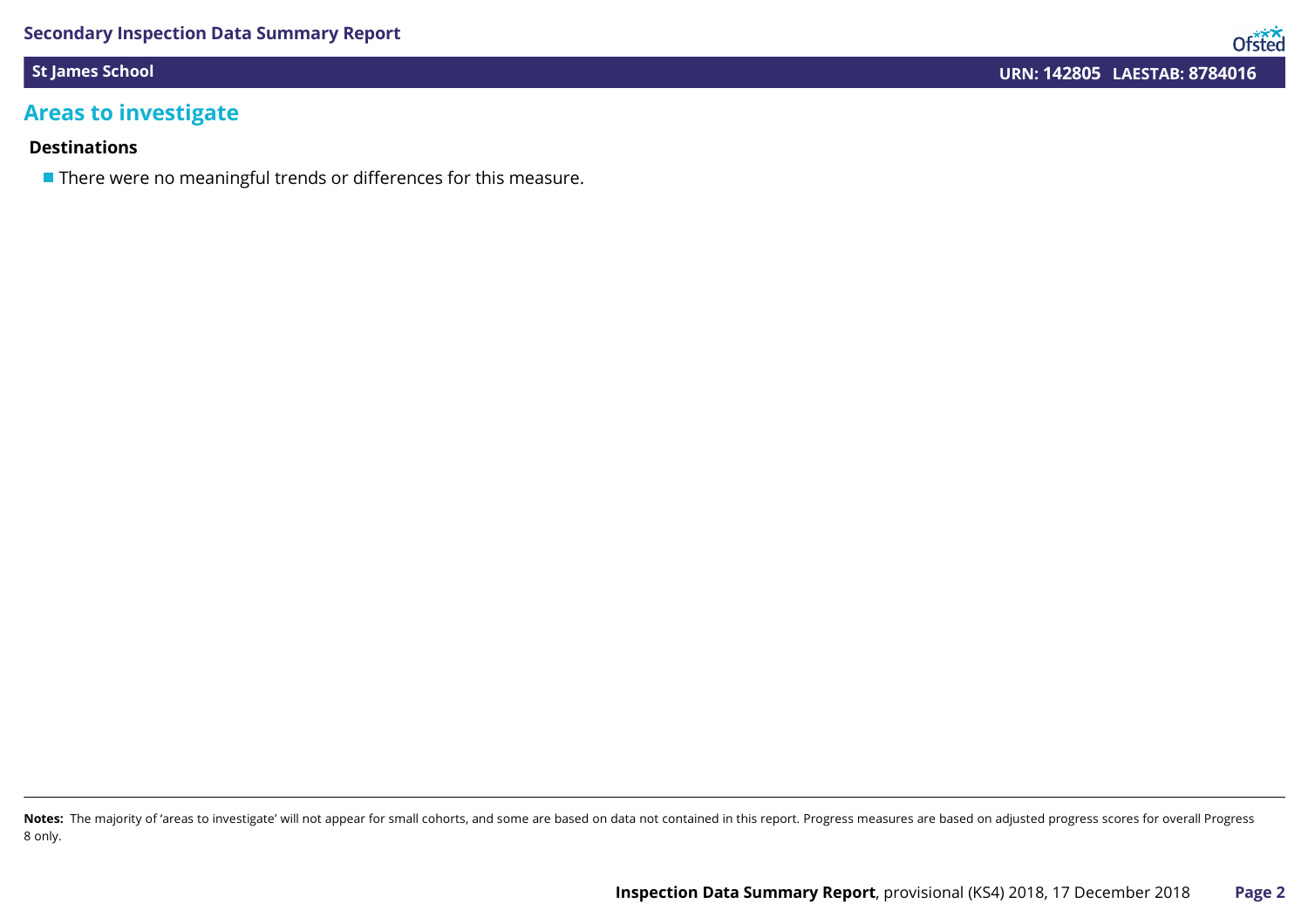### **Areas to investigate**

### **Destinations**

**There were no meaningful trends or differences for this measure.** 

Notes: The majority of 'areas to investigate' will not appear for small cohorts, and some are based on data not contained in this report. Progress measures are based on adjusted progress scores for overall Progress 8 only.

Ofsted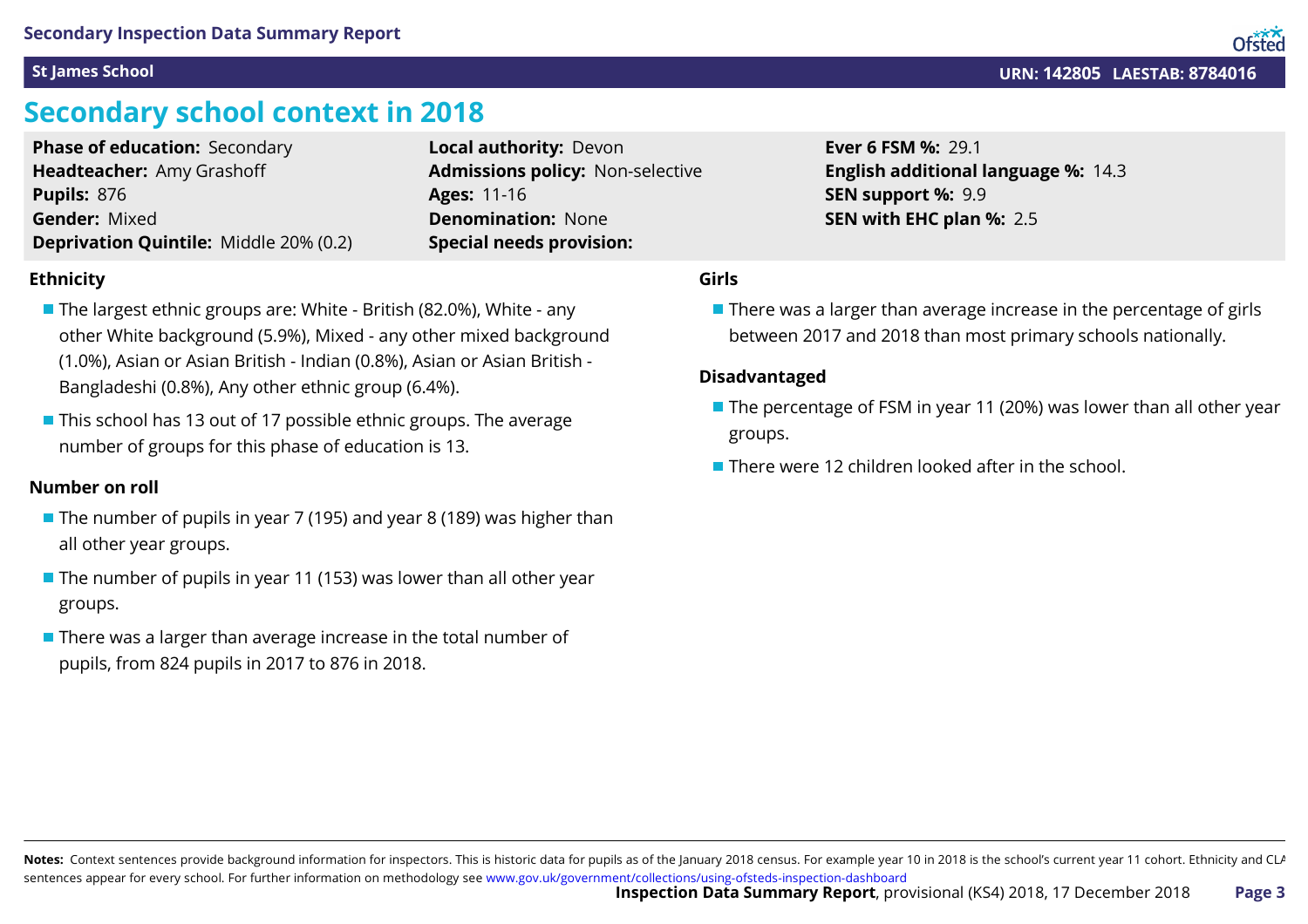### **Secondary school context in 2018**

| <b>Phase of education: Secondary</b>          | Local authority: Devon                  |
|-----------------------------------------------|-----------------------------------------|
| Headteacher: Amy Grashoff                     | <b>Admissions policy: Non-selective</b> |
| <b>Pupils: 876</b>                            | <b>Ages: 11-16</b>                      |
| <b>Gender: Mixed</b>                          | <b>Denomination: None</b>               |
| <b>Deprivation Quintile: Middle 20% (0.2)</b> | <b>Special needs provision:</b>         |

### **Ethnicity**

- The largest ethnic groups are: White British (82.0%), White any other White background (5.9%), Mixed - any other mixed background (1.0%), Asian or Asian British - Indian (0.8%), Asian or Asian British - Bangladeshi (0.8%), Any other ethnic group (6.4%).
- This school has 13 out of 17 possible ethnic groups. The average number of groups for this phase of education is 13.

#### **Number on roll**

- The number of pupils in year 7 (195) and year 8 (189) was higher than all other year groups.
- $\blacksquare$  The number of pupils in year 11 (153) was lower than all other year groups.
- There was a larger than average increase in the total number of pupils, from 824 pupils in 2017 to 876 in 2018.

### **Girls**

 $\blacksquare$  There was a larger than average increase in the percentage of girls between 2017 and 2018 than most primary schools nationally.

14.3 **English additional language %:**

### **Disadvantaged**

- The percentage of FSM in year 11 (20%) was lower than all other year groups.
- **There were 12 children looked after in the school.**

29.1 **Ever 6 FSM %:**

9.9 **SEN support %:**

2.5 **SEN with EHC plan %:**

**St James School URN: 142805 LAESTAB: 8784016**

Notes: Context sentences provide background information for inspectors. This is historic data for pupils as of the January 2018 census. For example year 10 in 2018 is the school's current year 11 cohort. Ethnicity and CLA sentences appear for every school. For further information on methodology see [www.gov.uk/government/collections/using-ofsteds-inspection-dashboard](https://www.gov.uk/government/collections/using-ofsteds-inspection-dashboard)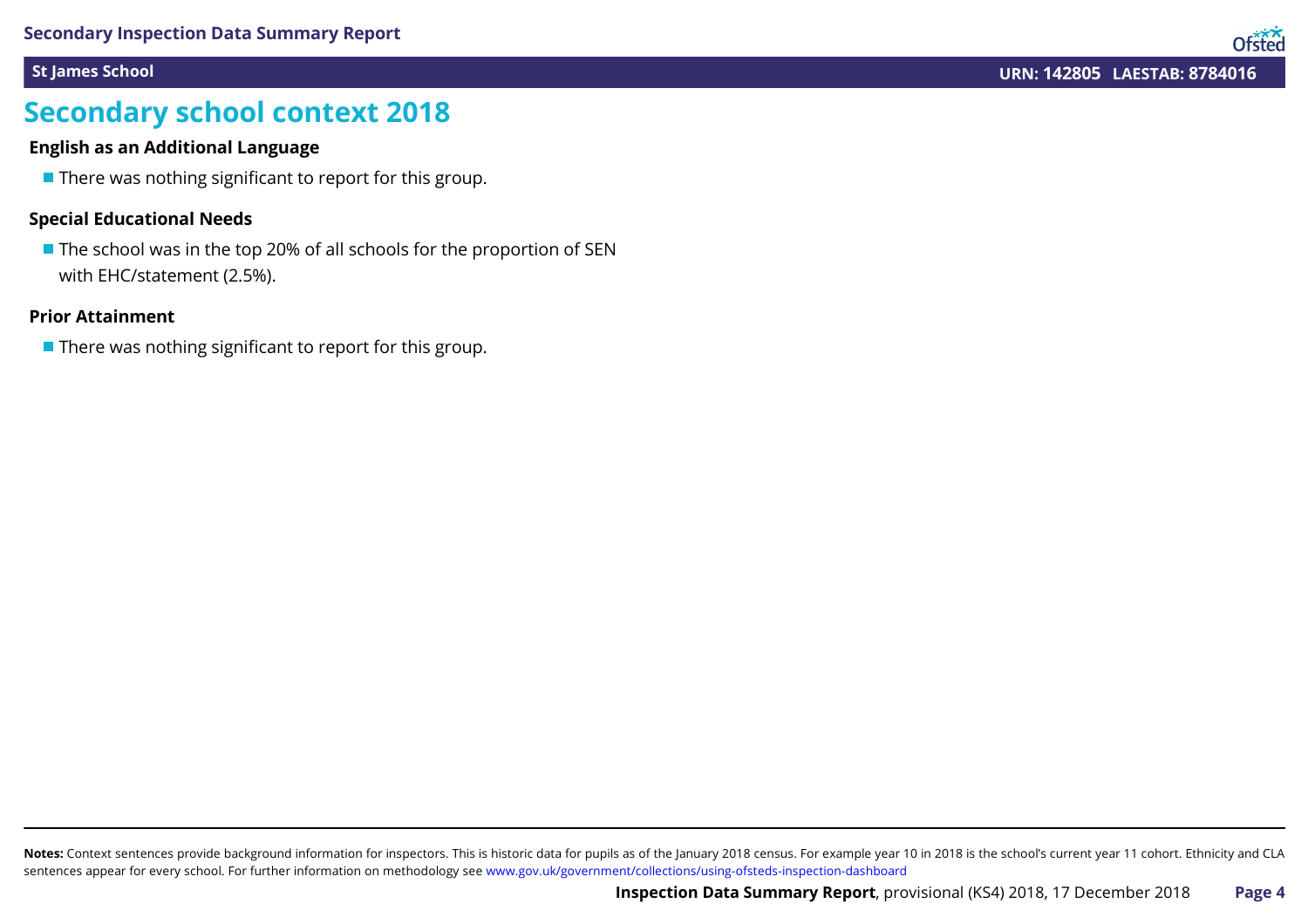Ofsted

### **Secondary school context 2018**

### **English as an Additional Language**

 $\blacksquare$  There was nothing significant to report for this group.

### **Special Educational Needs**

 $\blacksquare$  The school was in the top 20% of all schools for the proportion of SEN with EHC/statement (2.5%).

#### **Prior Attainment**

 $\blacksquare$  There was nothing significant to report for this group.

Notes: Context sentences provide background information for inspectors. This is historic data for pupils as of the January 2018 census. For example year 10 in 2018 is the school's current year 11 cohort. Ethnicity and CLA sentences appear for every school. For further information on methodology see [www.gov.uk/government/collections/using-ofsteds-inspection-dashboard](https://www.gov.uk/government/collections/using-ofsteds-inspection-dashboard)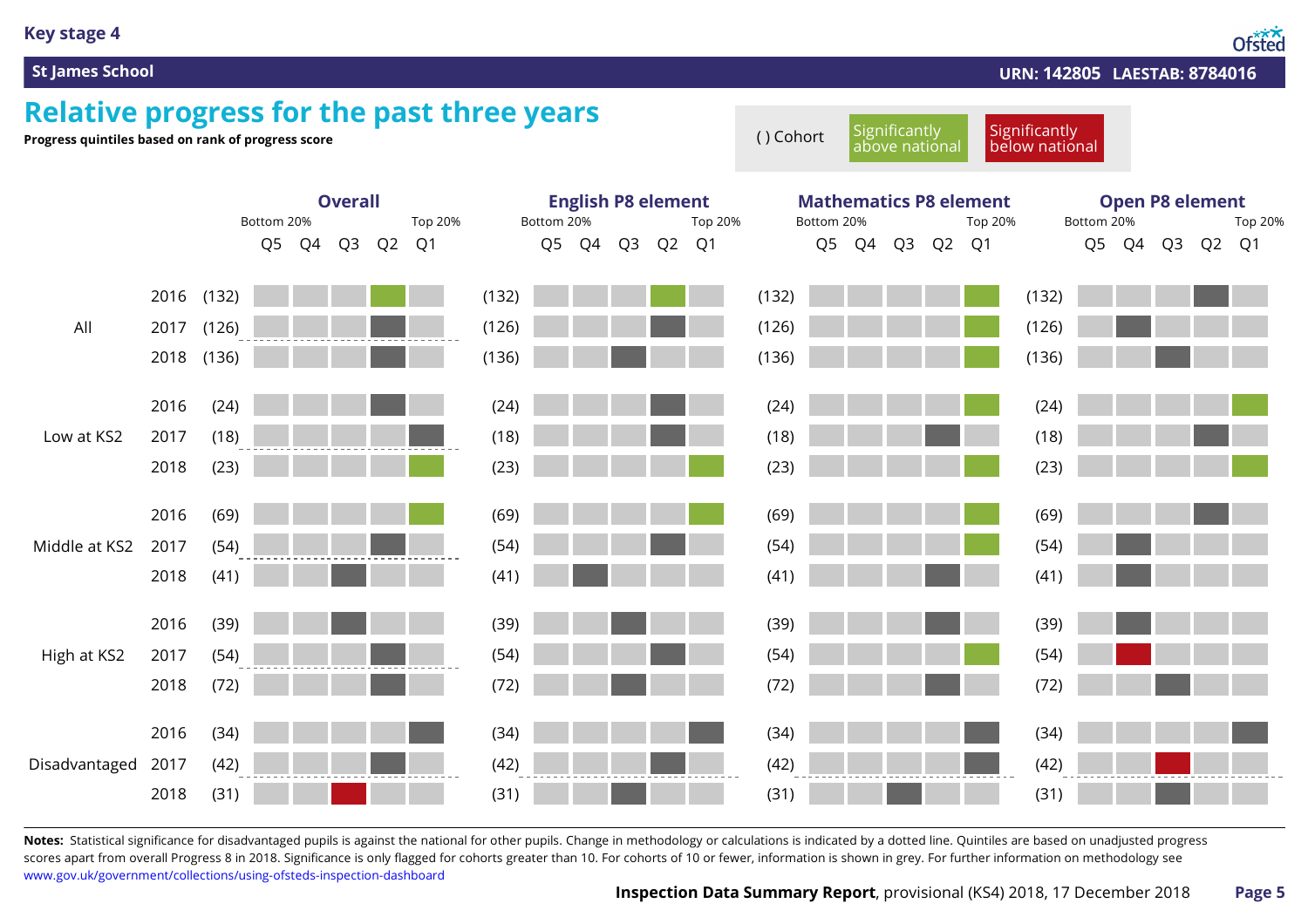### **Key stage 4**

Ofsted

#### **St James School URN: 142805 LAESTAB: 8784016**

### **Relative progress for the past three years**

**Progress quintiles based on rank of progress score**<br> **Progress quintiles based on rank of progress score** ( ) Cohort Significantly

**Significantly** 

below national

above national

|                    |            | <b>Overall</b><br>Bottom 20%<br>Top 20% |    |    |    |       |  | <b>English P8 element</b><br>Bottom 20%<br>Top 20% |  |       |  |          | <b>Mathematics P8 element</b><br>Bottom 20%<br>Top 20% |       |  |       |          |  | <b>Open P8 element</b><br>Bottom 20%<br>Top 20% |       |       |  |    |       |  |
|--------------------|------------|-----------------------------------------|----|----|----|-------|--|----------------------------------------------------|--|-------|--|----------|--------------------------------------------------------|-------|--|-------|----------|--|-------------------------------------------------|-------|-------|--|----|-------|--|
|                    |            |                                         | Q5 | Q4 | Q3 | Q2 Q1 |  |                                                    |  | Q5 Q4 |  | Q3 Q2 Q1 |                                                        |       |  | Q5 Q4 | Q3 Q2 Q1 |  |                                                 |       | Q5 Q4 |  | Q3 | Q2 Q1 |  |
|                    |            |                                         |    |    |    |       |  |                                                    |  |       |  |          |                                                        |       |  |       |          |  |                                                 |       |       |  |    |       |  |
| All                | 2016 (132) |                                         |    |    |    |       |  | (132)                                              |  |       |  |          |                                                        | (132) |  |       |          |  |                                                 | (132) |       |  |    |       |  |
|                    | 2017       | (126)                                   |    |    |    |       |  | (126)                                              |  |       |  |          |                                                        | (126) |  |       |          |  |                                                 | (126) |       |  |    |       |  |
|                    | 2018 (136) |                                         |    |    |    |       |  | (136)                                              |  |       |  |          |                                                        | (136) |  |       |          |  |                                                 | (136) |       |  |    |       |  |
|                    | 2016       | (24)                                    |    |    |    |       |  | (24)                                               |  |       |  |          |                                                        | (24)  |  |       |          |  |                                                 | (24)  |       |  |    |       |  |
| Low at KS2         | 2017       | (18)                                    |    |    |    |       |  | (18)                                               |  |       |  |          |                                                        | (18)  |  |       |          |  |                                                 | (18)  |       |  |    |       |  |
|                    | 2018       | (23)                                    |    |    |    |       |  | (23)                                               |  |       |  |          |                                                        | (23)  |  |       |          |  |                                                 | (23)  |       |  |    |       |  |
|                    | 2016       | (69)                                    |    |    |    |       |  | (69)                                               |  |       |  |          |                                                        | (69)  |  |       |          |  |                                                 | (69)  |       |  |    |       |  |
| Middle at KS2      | 2017       | (54)                                    |    |    |    |       |  | (54)                                               |  |       |  |          |                                                        | (54)  |  |       |          |  |                                                 | (54)  |       |  |    |       |  |
|                    | 2018       | (41)                                    |    |    |    |       |  | (41)                                               |  |       |  |          |                                                        | (41)  |  |       |          |  |                                                 | (41)  |       |  |    |       |  |
|                    | 2016       | (39)                                    |    |    |    |       |  | (39)                                               |  |       |  |          |                                                        | (39)  |  |       |          |  |                                                 | (39)  |       |  |    |       |  |
| High at KS2        | 2017       | (54)                                    |    |    |    |       |  | (54)                                               |  |       |  |          |                                                        | (54)  |  |       |          |  |                                                 | (54)  |       |  |    |       |  |
|                    | 2018       | (72)                                    |    |    |    |       |  | (72)                                               |  |       |  |          |                                                        | (72)  |  |       |          |  |                                                 | (72)  |       |  |    |       |  |
|                    | 2016       | (34)                                    |    |    |    |       |  | (34)                                               |  |       |  |          |                                                        | (34)  |  |       |          |  |                                                 | (34)  |       |  |    |       |  |
| Disadvantaged 2017 |            | (42)                                    |    |    |    |       |  | (42)                                               |  |       |  |          |                                                        | (42)  |  |       |          |  |                                                 | (42)  |       |  |    |       |  |
|                    | 2018       | (31)                                    |    |    |    |       |  | (31)                                               |  |       |  |          |                                                        | (31)  |  |       |          |  |                                                 | (31)  |       |  |    |       |  |

Notes: Statistical significance for disadvantaged pupils is against the national for other pupils. Change in methodology or calculations is indicated by a dotted line. Quintiles are based on unadjusted progress scores apart from overall Progress 8 in 2018. Significance is only flagged for cohorts greater than 10. For cohorts of 10 or fewer, information is shown in grey. For further information on methodology see [www.gov.uk/government/collections/using-ofsteds-inspection-dashboard](https://www.gov.uk/government/collections/using-ofsteds-inspection-dashboard)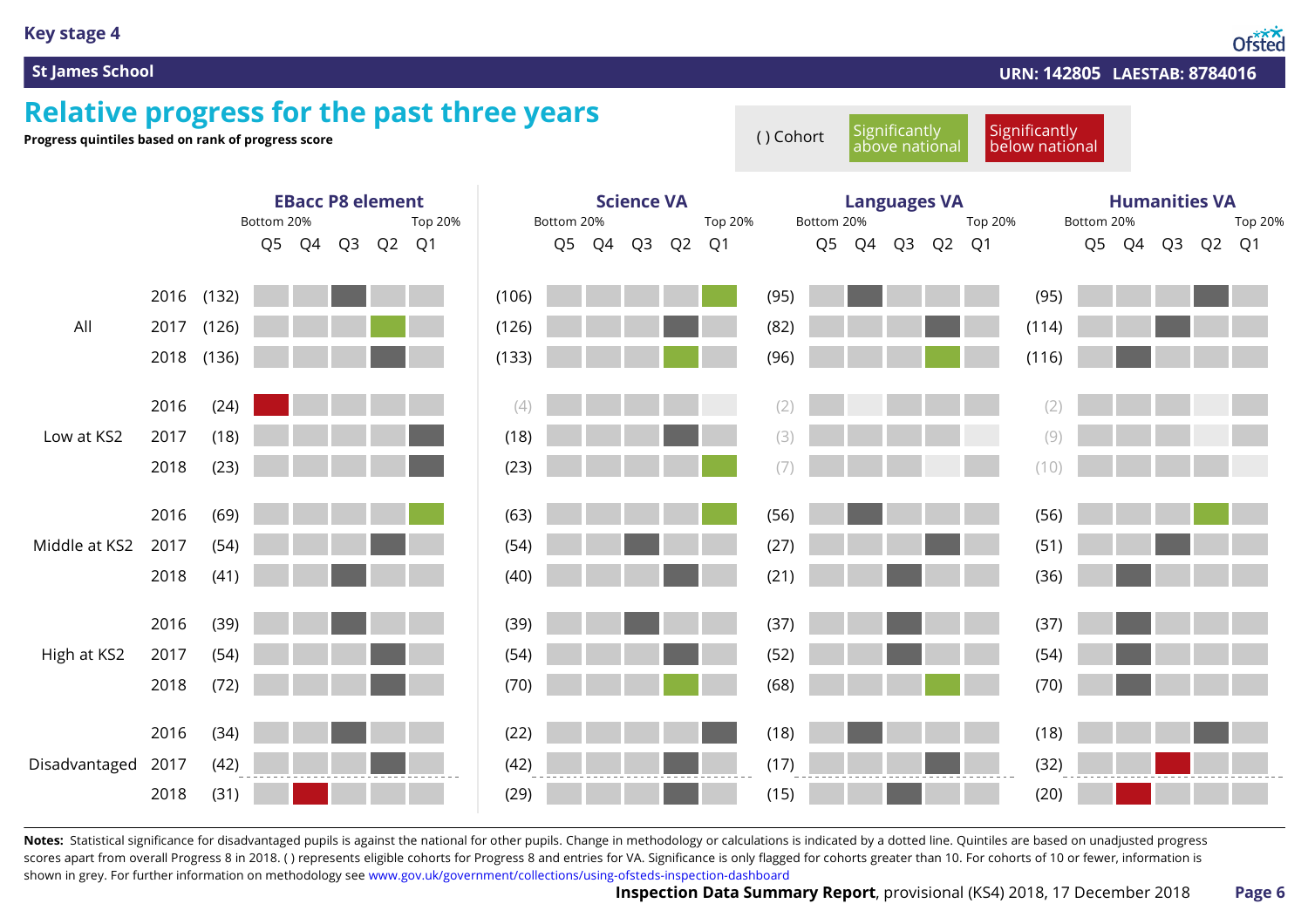#### **Key stage 4**

Ofsted

#### **St James School URN: 142805 LAESTAB: 8784016**

### **Relative progress for the past three years**



Notes: Statistical significance for disadvantaged pupils is against the national for other pupils. Change in methodology or calculations is indicated by a dotted line. Quintiles are based on unadjusted progress scores apart from overall Progress 8 in 2018. () represents eligible cohorts for Progress 8 and entries for VA. Significance is only flagged for cohorts greater than 10. For cohorts of 10 or fewer, information is shown in grey. For further information on methodology see [www.gov.uk/government/collections/using-ofsteds-inspection-dashboard](https://www.gov.uk/government/collections/using-ofsteds-inspection-dashboard)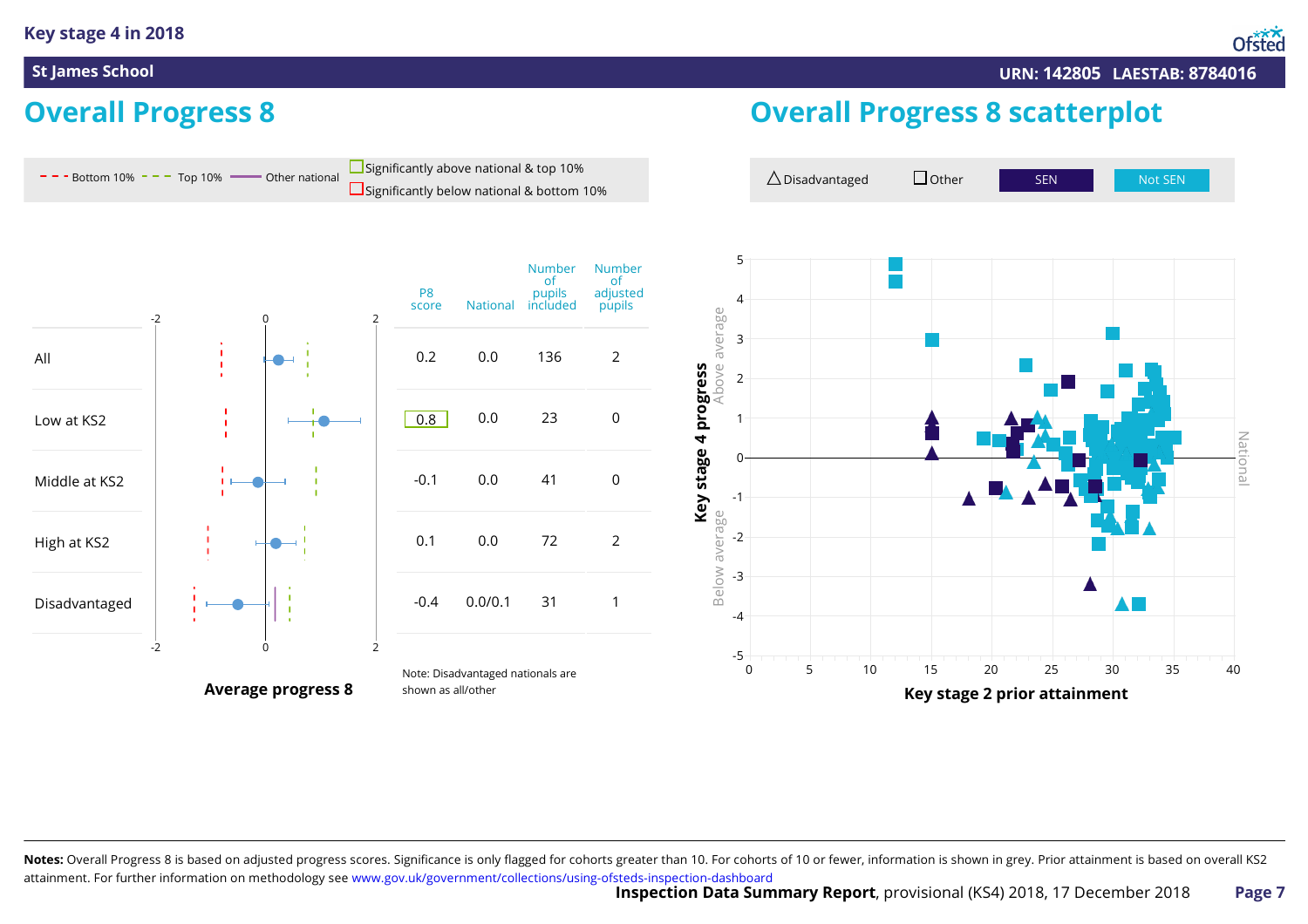## **Overall Progress 8**

### **Overall Progress 8 scatterplot**



Notes: Overall Progress 8 is based on adjusted progress scores. Significance is only flagged for cohorts greater than 10. For cohorts of 10 or fewer, information is shown in grey. Prior attainment is based on overall KS2 attainment. For further information on methodology see [www.gov.uk/government/collections/using-ofsteds-inspection-dashboard](https://www.gov.uk/government/collections/using-ofsteds-inspection-dashboard)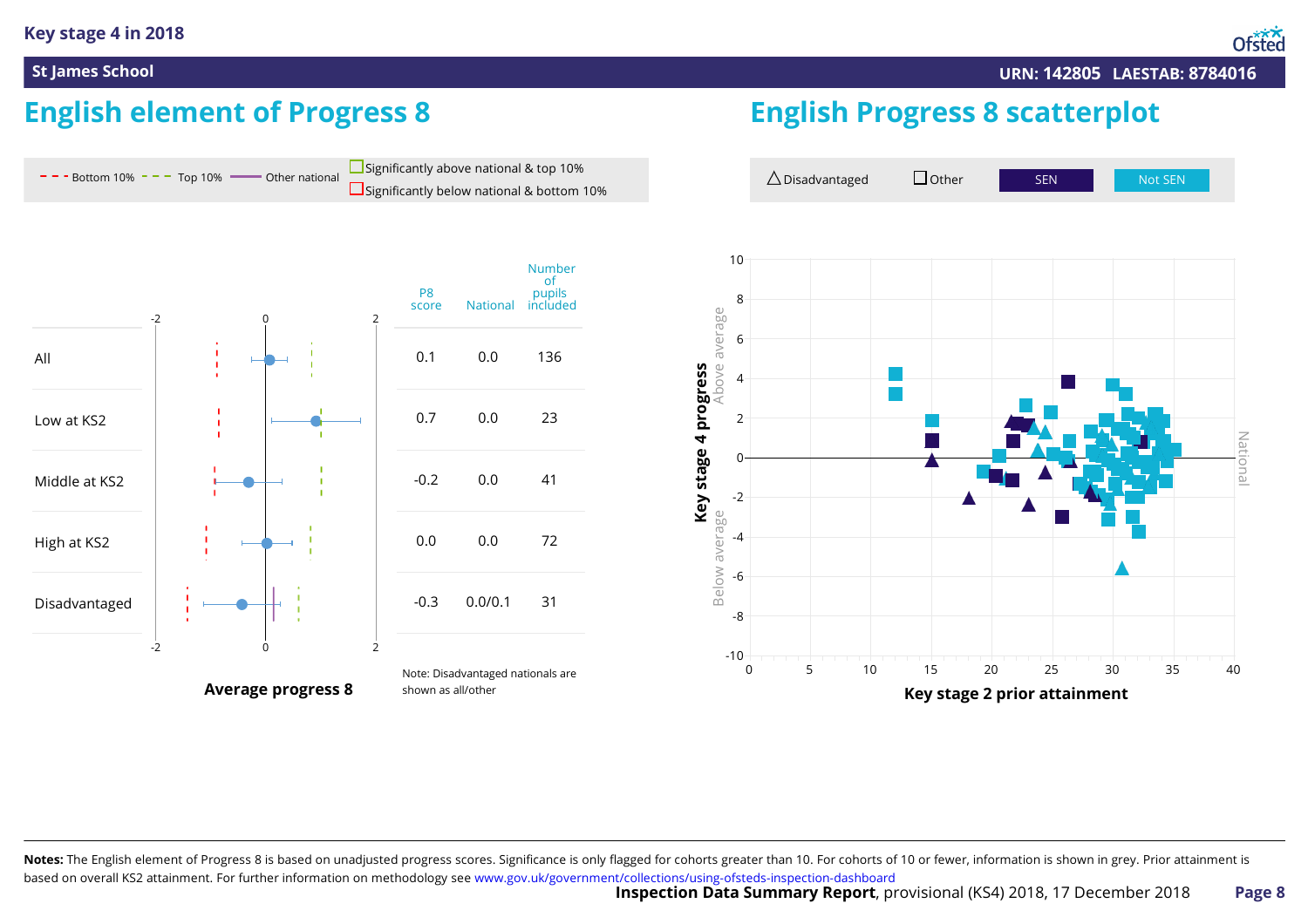# **English element of Progress 8**



Notes: The English element of Progress 8 is based on unadjusted progress scores. Significance is only flagged for cohorts greater than 10. For cohorts of 10 or fewer, information is shown in grey. Prior attainment is based on overall KS2 attainment. For further information on methodology see [www.gov.uk/government/collections/using-ofsteds-inspection-dashboard](https://www.gov.uk/government/collections/using-ofsteds-inspection-dashboard)

**English Progress 8 scatterplot**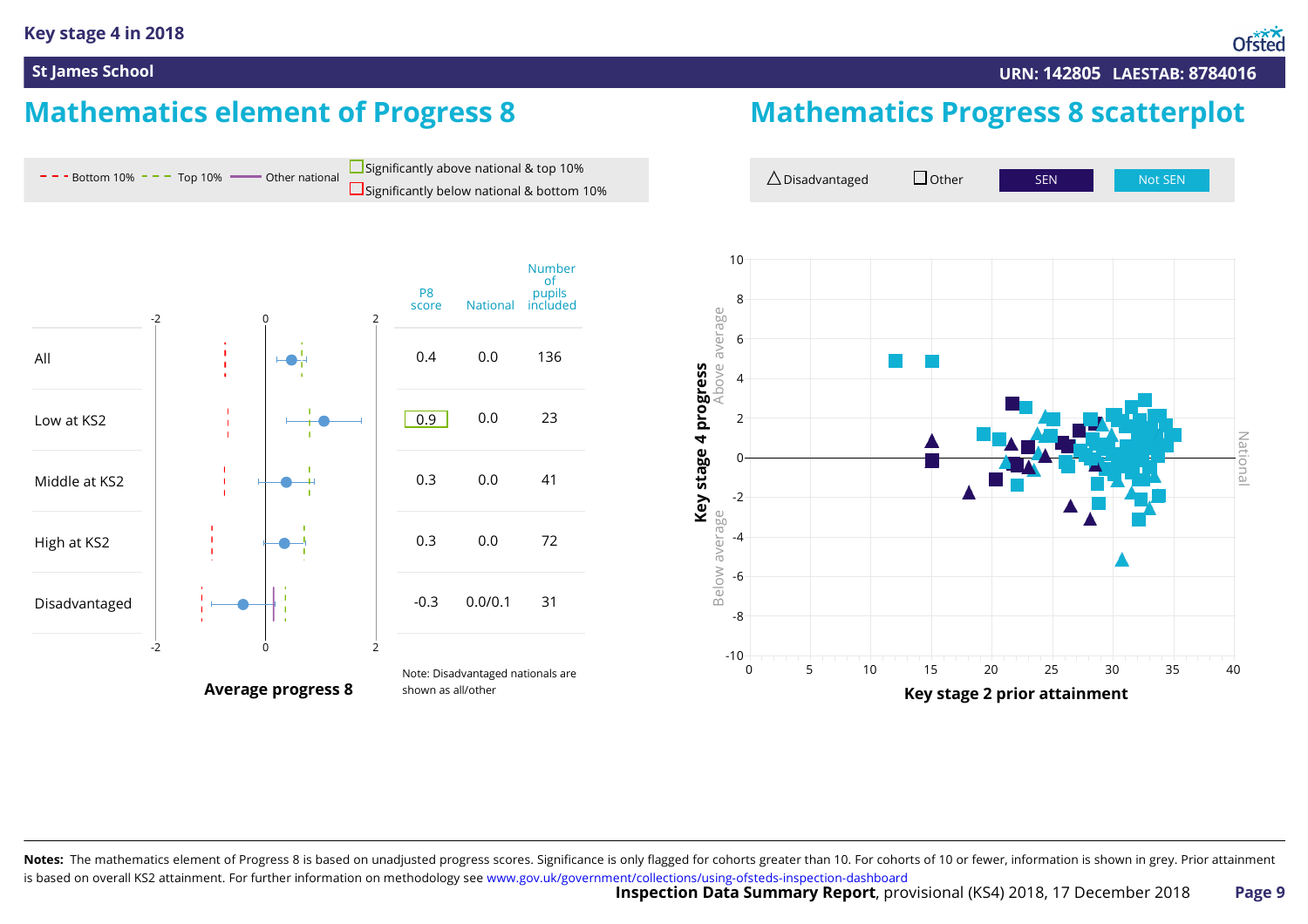#### **Key stage 4 in 2018**

National

#### **St James School URN: 142805 LAESTAB: 8784016**

## **Mathematics element of Progress 8**



Notes: The mathematics element of Progress 8 is based on unadjusted progress scores. Significance is only flagged for cohorts greater than 10. For cohorts of 10 or fewer, information is shown in grey. Prior attainment is based on overall KS2 attainment. For further information on methodology see [www.gov.uk/government/collections/using-ofsteds-inspection-dashboard](https://www.gov.uk/government/collections/using-ofsteds-inspection-dashboard)

# **Mathematics Progress 8 scatterplot**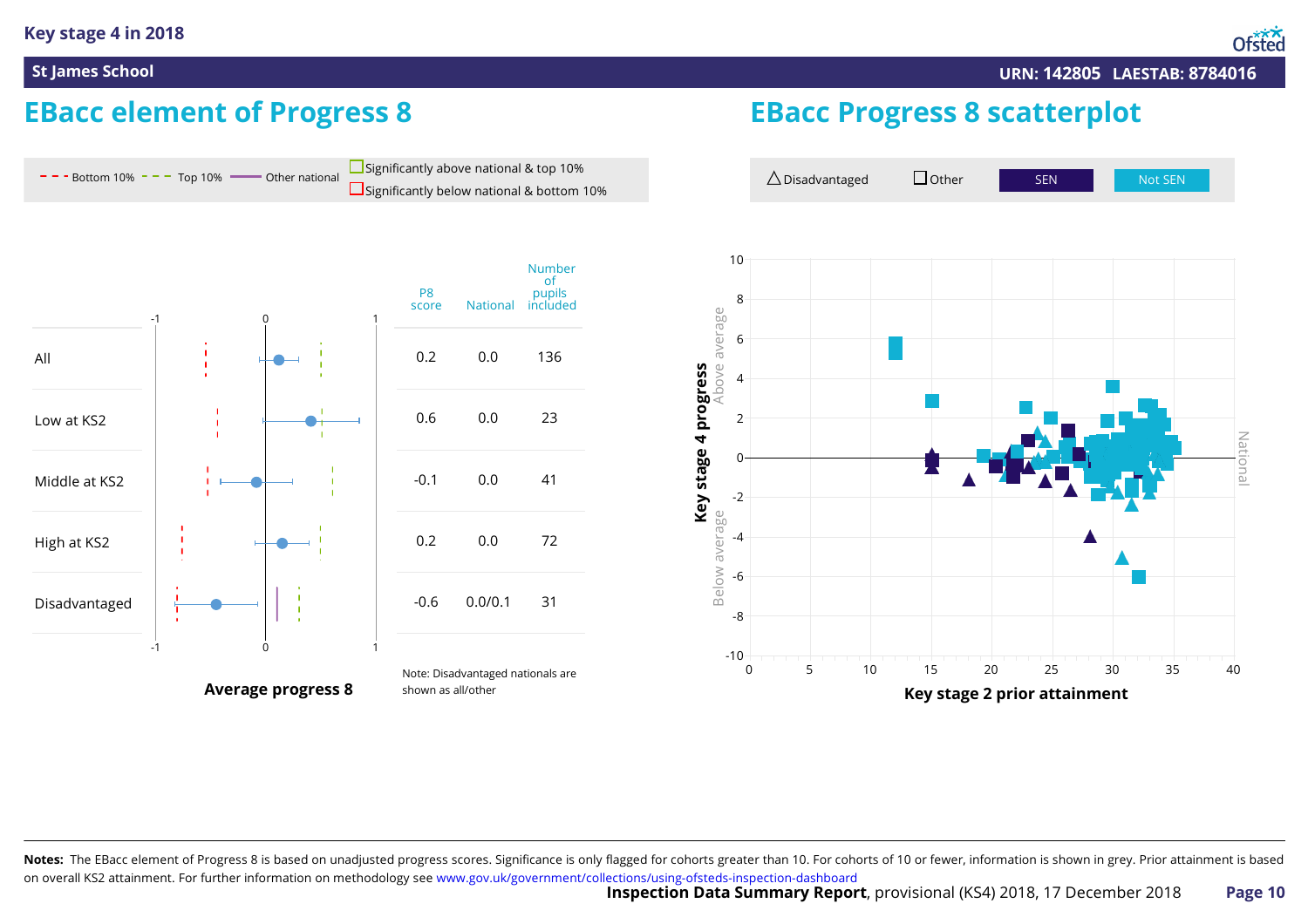## **EBacc element of Progress 8**





### **EBacc Progress 8 scatterplot**



Notes: The EBacc element of Progress 8 is based on unadjusted progress scores. Significance is only flagged for cohorts greater than 10. For cohorts of 10 or fewer, information is shown in grey. Prior attainment is based on overall KS2 attainment. For further information on methodology see [www.gov.uk/government/collections/using-ofsteds-inspection-dashboard](https://www.gov.uk/government/collections/using-ofsteds-inspection-dashboard)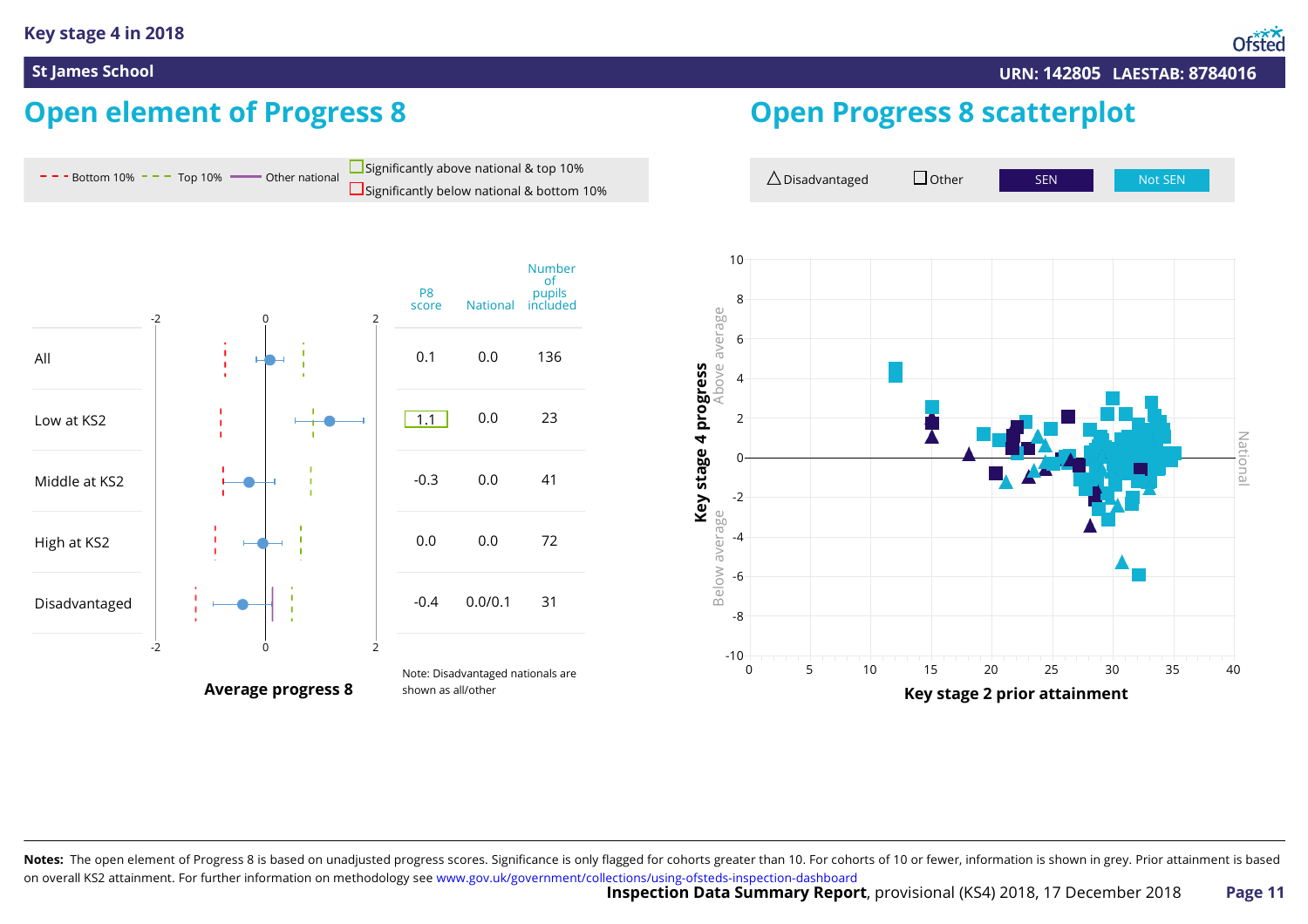# **Open element of Progress 8**



Notes: The open element of Progress 8 is based on unadjusted progress scores. Significance is only flagged for cohorts greater than 10. For cohorts of 10 or fewer, information is shown in grey. Prior attainment is based on overall KS2 attainment. For further information on methodology see [www.gov.uk/government/collections/using-ofsteds-inspection-dashboard](https://www.gov.uk/government/collections/using-ofsteds-inspection-dashboard)

**Open Progress 8 scatterplot**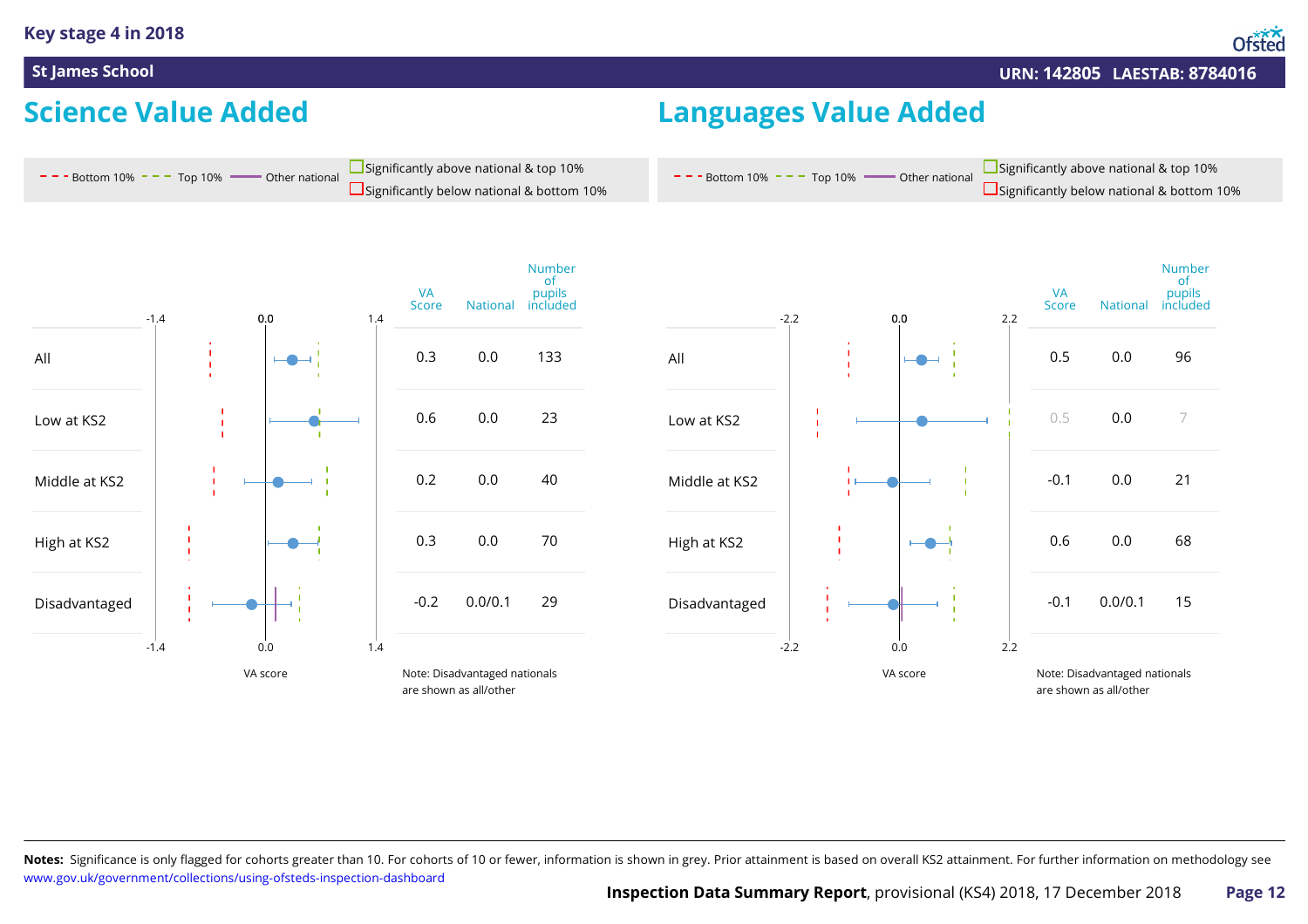### **Science Value Added**

 $-$  - Bottom 10%  $-$  - Top 10%  $-$  Other national

## **Languages Value Added**

 $- -$  Bottom 10%  $- -$  Top 10%  $-$  Other national

Significantly below national & bottom 10% Significantly above national & top 10%



Significantly below national & bottom 10% Significantly above national & top 10%

Notes: Significance is only flagged for cohorts greater than 10. For cohorts of 10 or fewer, information is shown in grey. Prior attainment is based on overall KS2 attainment. For further information on methodology see [www.gov.uk/government/collections/using-ofsteds-inspection-dashboard](https://www.gov.uk/government/collections/using-ofsteds-inspection-dashboard)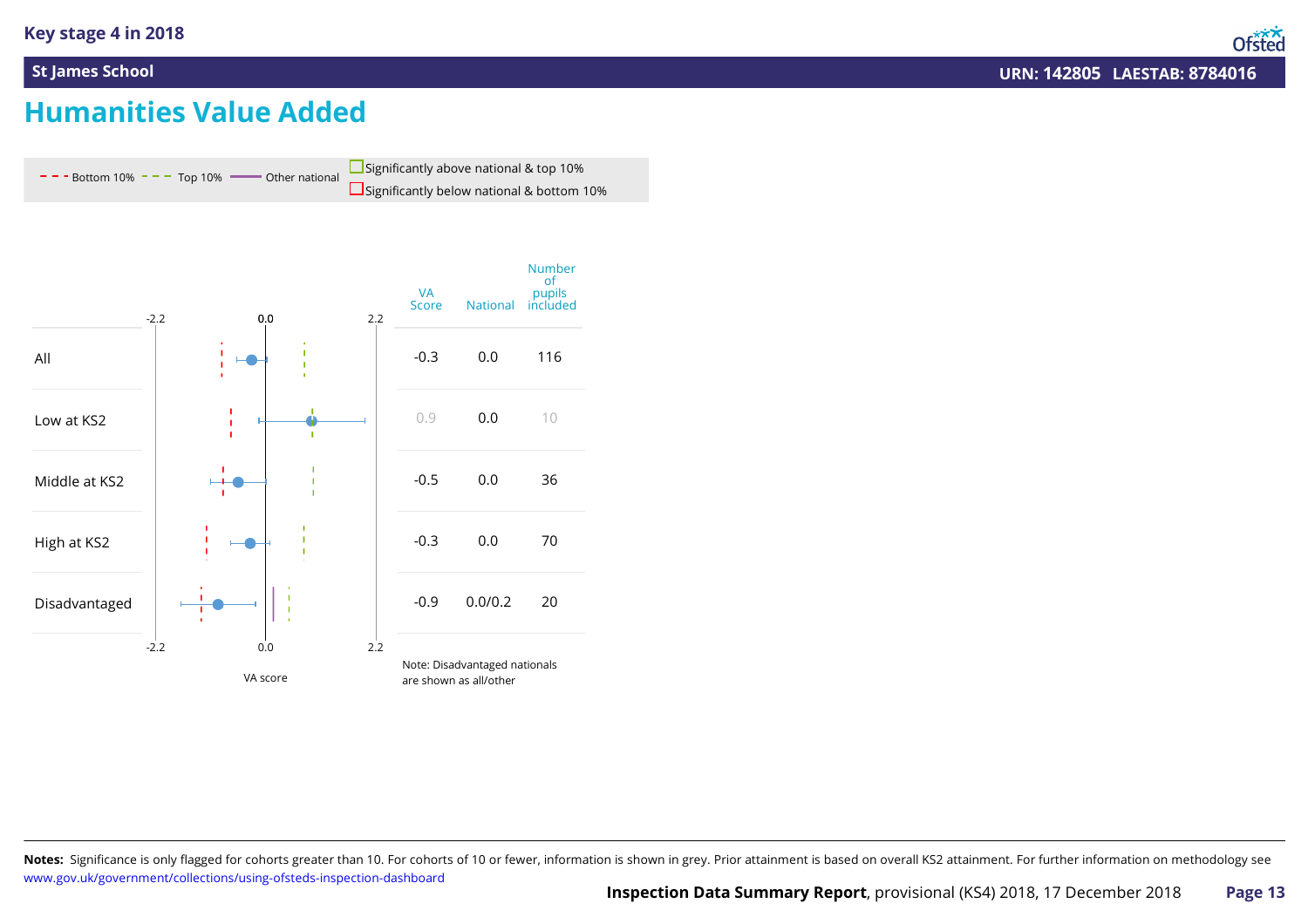## **Humanities Value Added**





Notes: Significance is only flagged for cohorts greater than 10. For cohorts of 10 or fewer, information is shown in grey. Prior attainment is based on overall KS2 attainment. For further information on methodology see [www.gov.uk/government/collections/using-ofsteds-inspection-dashboard](https://www.gov.uk/government/collections/using-ofsteds-inspection-dashboard)